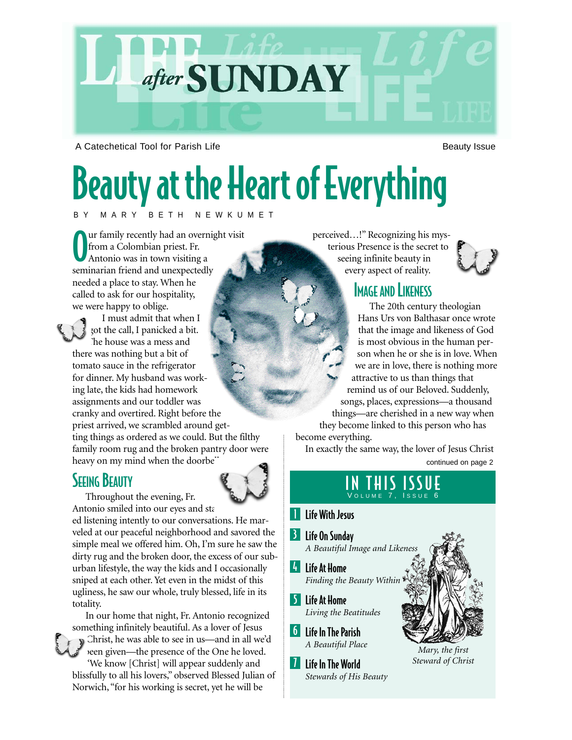

A Catechetical Tool for Parish Life Beauty Issue Beauty Issue

# Beauty at the Heart of Everything

#### BY MARY BETH NEWKUMET

O ur family recently had an overnight visit from a Colombian priest. Fr. Antonio was in town visiting a seminarian friend and unexpectedly needed a place to stay. When he called to ask for our hospitality, we were happy to oblige.

I must admit that when I got the call, I panicked a bit. The house was a mess and there was nothing but a bit of tomato sauce in the refrigerator for dinner. My husband was working late, the kids had homework assignments and our toddler was cranky and overtired. Right before the priest arrived, we scrambled around getting things as ordered as we could. But the filthy family room rug and the broken pantry door were heavy on my mind when the doorbel

### **SEEING BEAUTY**



Throughout the evening, Fr. Antonio smiled into our eyes and sta

ed listening intently to our conversations. He marveled at our peaceful neighborhood and savored the simple meal we offered him. Oh, I'm sure he saw the dirty rug and the broken door, the excess of our suburban lifestyle, the way the kids and I occasionally sniped at each other. Yet even in the midst of this ugliness, he saw our whole, truly blessed, life in its totality.

In our home that night, Fr. Antonio recognized something infinitely beautiful. As a lover of Jesus Christ, he was able to see in us—and in all we'd been given—the presence of the One he loved. "We know [Christ] will appear suddenly and blissfully to all his lovers," observed Blessed Julian of Norwich, "for his working is secret, yet he will be

perceived…!" Recognizing his mys-

terious Presence is the secret to seeing infinite beauty in every aspect of reality.



#### **IMAGE AND LIKENESS**

The 20th century theologian Hans Urs von Balthasar once wrote that the image and likeness of God is most obvious in the human person when he or she is in love. When we are in love, there is nothing more attractive to us than things that remind us of our Beloved. Suddenly, songs, places, expressions—a thousand things—are cherished in a new way when they become linked to this person who has

become everything.

In exactly the same way, the lover of Jesus Christ

continued on page 2

#### IN THIS ISSUE VOLUME 7, ISSUE 6

#### **I** Life With Jesus

- **B** Life On Sunday
- *A Beautiful Image and Likeness*
- 4 Life At Home *Finding the Beauty Within*
- 5 Life At Home *Living the Beatitudes*
- 6 Life In The Parish *A Beautiful Place*
- **7** Life In The World *Stewards of His Beauty*



*Mary, the first Steward of Christ*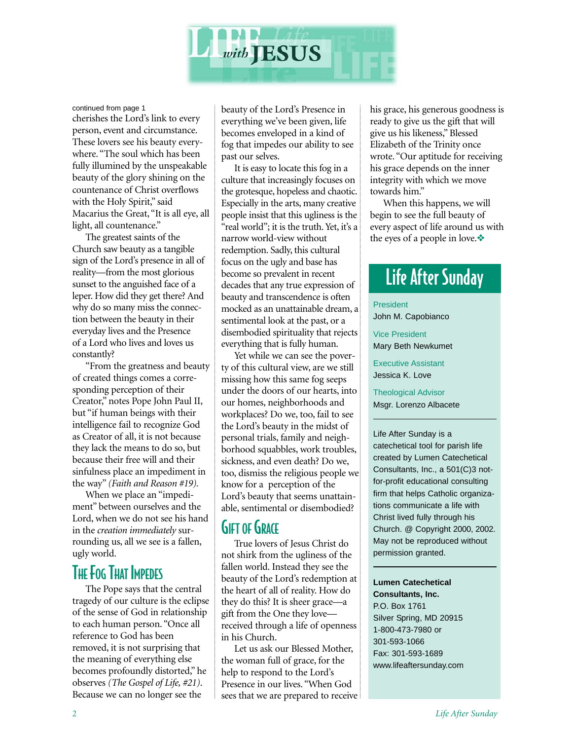

continued from page 1

cherishes the Lord's link to every person, event and circumstance. These lovers see his beauty everywhere. "The soul which has been fully illumined by the unspeakable beauty of the glory shining on the countenance of Christ overflows with the Holy Spirit," said Macarius the Great, "It is all eye, all light, all countenance."

The greatest saints of the Church saw beauty as a tangible sign of the Lord's presence in all of reality—from the most glorious sunset to the anguished face of a leper. How did they get there? And why do so many miss the connection between the beauty in their everyday lives and the Presence of a Lord who lives and loves us constantly?

"From the greatness and beauty of created things comes a corresponding perception of their Creator," notes Pope John Paul II, but "if human beings with their intelligence fail to recognize God as Creator of all, it is not because they lack the means to do so, but because their free will and their sinfulness place an impediment in the way" *(Faith and Reason #19).*

When we place an "impediment" between ourselves and the Lord, when we do not see his hand in the *creation immediately* surrounding us, all we see is a fallen, ugly world.

#### THE FOG THAT IMPEDES

The Pope says that the central tragedy of our culture is the eclipse of the sense of God in relationship to each human person. "Once all reference to God has been removed, it is not surprising that the meaning of everything else becomes profoundly distorted," he observes *(The Gospel of Life, #21)*. Because we can no longer see the

beauty of the Lord's Presence in everything we've been given, life becomes enveloped in a kind of fog that impedes our ability to see past our selves.

It is easy to locate this fog in a culture that increasingly focuses on the grotesque, hopeless and chaotic. Especially in the arts, many creative people insist that this ugliness is the "real world"; it is the truth. Yet, it's a narrow world-view without redemption. Sadly, this cultural focus on the ugly and base has become so prevalent in recent decades that any true expression of beauty and transcendence is often mocked as an unattainable dream, a sentimental look at the past, or a disembodied spirituality that rejects everything that is fully human.

Yet while we can see the poverty of this cultural view, are we still missing how this same fog seeps under the doors of our hearts, into our homes, neighborhoods and workplaces? Do we, too, fail to see the Lord's beauty in the midst of personal trials, family and neighborhood squabbles, work troubles, sickness, and even death? Do we, too, dismiss the religious people we know for a perception of the Lord's beauty that seems unattainable, sentimental or disembodied?

#### **GIFT OF GRACE**

True lovers of Jesus Christ do not shirk from the ugliness of the fallen world. Instead they see the beauty of the Lord's redemption at the heart of all of reality. How do they do this? It is sheer grace—a gift from the One they love received through a life of openness in his Church.

Let us ask our Blessed Mother, the woman full of grace, for the help to respond to the Lord's Presence in our lives. "When God sees that we are prepared to receive his grace, his generous goodness is ready to give us the gift that will give us his likeness," Blessed Elizabeth of the Trinity once wrote. "Our aptitude for receiving his grace depends on the inner integrity with which we move towards him."

When this happens, we will begin to see the full beauty of every aspect of life around us with the eyes of a people in love.❖

# Life After Sunday

President

John M. Capobianco

Vice President Mary Beth Newkumet

Executive Assistant Jessica K. Love

Theological Advisor Msgr. Lorenzo Albacete

Life After Sunday is a catechetical tool for parish life created by Lumen Catechetical Consultants, Inc., a 501(C)3 notfor-profit educational consulting firm that helps Catholic organizations communicate a life with Christ lived fully through his Church. @ Copyright 2000, 2002. May not be reproduced without permission granted.

#### **Lumen Catechetical**

**Consultants, Inc.** P.O. Box 1761 Silver Spring, MD 20915 1-800-473-7980 or 301-593-1066 Fax: 301-593-1689 www.lifeaftersunday.com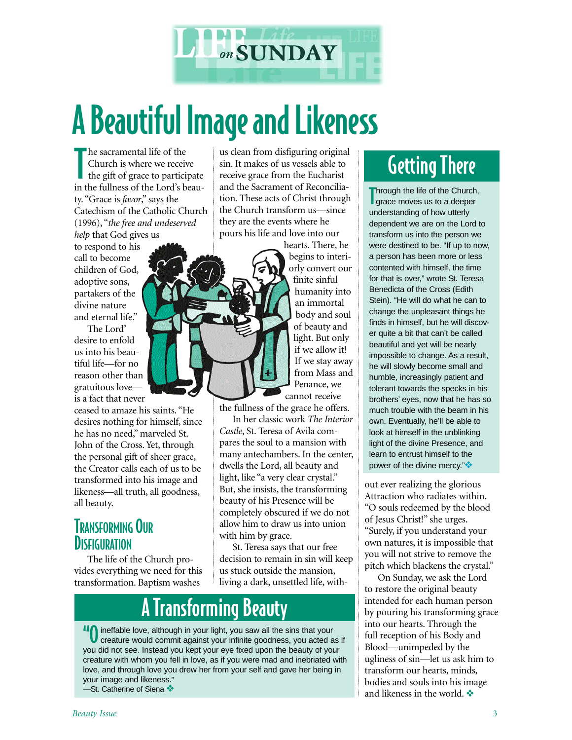

# A Beautiful Image and Likeness

T he sacramental life of the Church is where we receive the gift of grace to participate in the fullness of the Lord's beauty. "Grace is *favor*," says the Catechism of the Catholic Church (1996), "*the free and undeserved help* that God gives us

to respond to his call to become children of God, adoptive sons, partakers of the divine nature and eternal life."

The Lord' desire to enfold us into his beautiful life—for no reason other than gratuitous love is a fact that never

ceased to amaze his saints. "He desires nothing for himself, since he has no need," marveled St. John of the Cross. Yet, through the personal gift of sheer grace, the Creator calls each of us to be transformed into his image and likeness—all truth, all goodness, all beauty.

#### TRANSFORMING OUR **DISFIGURATION**

The life of the Church provides everything we need for this transformation. Baptism washes

us clean from disfiguring original sin. It makes of us vessels able to receive grace from the Eucharist and the Sacrament of Reconciliation. These acts of Christ through the Church transform us—since they are the events where he pours his life and love into our

hearts. There, he begins to interiorly convert our finite sinful humanity into an immortal body and soul of beauty and light. But only if we allow it! If we stay away from Mass and Penance, we cannot receive

the fullness of the grace he offers.

In her classic work *The Interior Castle*, St. Teresa of Avila compares the soul to a mansion with many antechambers. In the center, dwells the Lord, all beauty and light, like "a very clear crystal." But, she insists, the transforming beauty of his Presence will be completely obscured if we do not allow him to draw us into union with him by grace.

St. Teresa says that our free decision to remain in sin will keep us stuck outside the mansion, living a dark, unsettled life, with-

# A Transforming Beauty

ineffable love, although in your light, you saw all the sins that your creature would commit against your infinite goodness, you acted as if you did not see. Instead you kept your eye fixed upon the beauty of your creature with whom you fell in love, as if you were mad and inebriated with love, and through love you drew her from your self and gave her being in your image and likeness." —St. Catherine of Siena ❖

# Getting There

Through the life of the Church<br>Trace moves us to a deeper Through the life of the Church, understanding of how utterly dependent we are on the Lord to transform us into the person we were destined to be. "If up to now, a person has been more or less contented with himself, the time for that is over," wrote St. Teresa Benedicta of the Cross (Edith Stein). "He will do what he can to change the unpleasant things he finds in himself, but he will discover quite a bit that can't be called beautiful and yet will be nearly impossible to change. As a result, he will slowly become small and humble, increasingly patient and tolerant towards the specks in his brothers' eyes, now that he has so much trouble with the beam in his own. Eventually, he'll be able to look at himself in the unblinking light of the divine Presence, and learn to entrust himself to the power of the divine mercy."

out ever realizing the glorious Attraction who radiates within. "O souls redeemed by the blood of Jesus Christ!" she urges. "Surely, if you understand your own natures, it is impossible that you will not strive to remove the pitch which blackens the crystal."

On Sunday, we ask the Lord to restore the original beauty intended for each human person by pouring his transforming grace into our hearts. Through the full reception of his Body and Blood—unimpeded by the ugliness of sin—let us ask him to transform our hearts, minds, bodies and souls into his image and likeness in the world. ❖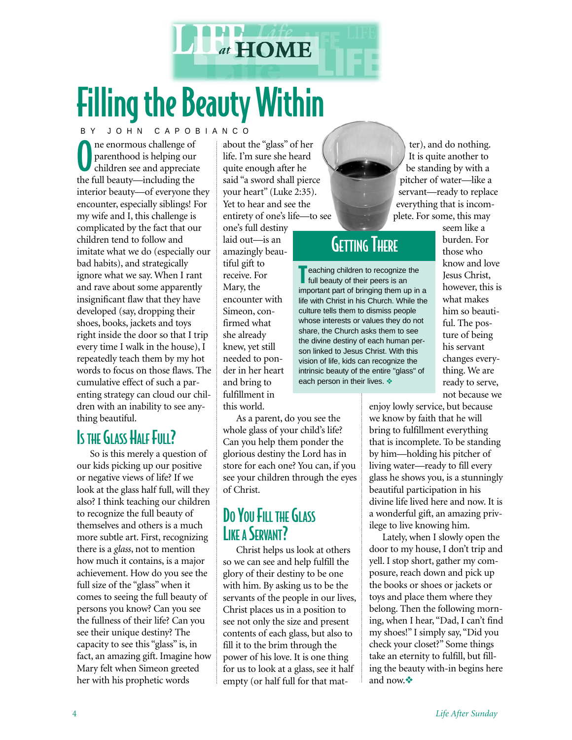

# Filling the Beauty Within

BY JOHN CAPOBIANCO

O ne enormous challenge of parenthood is helping our children see and appreciate the full beauty—including the interior beauty—of everyone they encounter, especially siblings! For my wife and I, this challenge is complicated by the fact that our children tend to follow and imitate what we do (especially our bad habits), and strategically ignore what we say. When I rant and rave about some apparently insignificant flaw that they have developed (say, dropping their shoes, books, jackets and toys right inside the door so that I trip every time I walk in the house), I repeatedly teach them by my hot words to focus on those flaws. The cumulative effect of such a parenting strategy can cloud our children with an inability to see anything beautiful.

## IS THE GLASS HALF FULL?

So is this merely a question of our kids picking up our positive or negative views of life? If we look at the glass half full, will they also? I think teaching our children to recognize the full beauty of themselves and others is a much more subtle art. First, recognizing there is a *glass*, not to mention how much it contains, is a major achievement. How do you see the full size of the "glass" when it comes to seeing the full beauty of persons you know? Can you see the fullness of their life? Can you see their unique destiny? The capacity to see this "glass" is, in fact, an amazing gift. Imagine how Mary felt when Simeon greeted her with his prophetic words

about the "glass" of her life. I'm sure she heard quite enough after he said "a sword shall pierce your heart" (Luke 2:35). Yet to hear and see the entirety of one's life—to see

one's full destiny laid out—is an amazingly beautiful gift to receive. For Mary, the encounter with Simeon, confirmed what she already knew, yet still needed to ponder in her heart and bring to fulfillment in this world.

As a parent, do you see the whole glass of your child's life? Can you help them ponder the glorious destiny the Lord has in store for each one? You can, if you see your children through the eyes of Christ.

### DO YOU FILL THE GLASS **LIKE A SERVANT?**

Christ helps us look at others so we can see and help fulfill the glory of their destiny to be one with him. By asking us to be the servants of the people in our lives, Christ places us in a position to see not only the size and present contents of each glass, but also to fill it to the brim through the power of his love. It is one thing for us to look at a glass, see it half empty (or half full for that mat-

ter), and do nothing. It is quite another to be standing by with a pitcher of water—like a servant—ready to replace everything that is incomplete. For some, this may

## **GETTING THERE**

Teaching children to recognize the<br>full beauty of their peers is an full beauty of their peers is an important part of bringing them up in a life with Christ in his Church. While the culture tells them to dismiss people whose interests or values they do not share, the Church asks them to see the divine destiny of each human person linked to Jesus Christ. With this vision of life, kids can recognize the intrinsic beauty of the entire "glass" of each person in their lives. ❖

seem like a burden. For those who know and love Jesus Christ, however, this is what makes him so beautiful. The posture of being his servant changes everything. We are ready to serve, not because we

enjoy lowly service, but because we know by faith that he will bring to fulfillment everything that is incomplete. To be standing by him—holding his pitcher of living water—ready to fill every glass he shows you, is a stunningly beautiful participation in his divine life lived here and now. It is a wonderful gift, an amazing privilege to live knowing him.

Lately, when I slowly open the door to my house, I don't trip and yell. I stop short, gather my composure, reach down and pick up the books or shoes or jackets or toys and place them where they belong. Then the following morning, when I hear, "Dad, I can't find my shoes!" I simply say, "Did you check your closet?" Some things take an eternity to fulfill, but filling the beauty with-in begins here and now.❖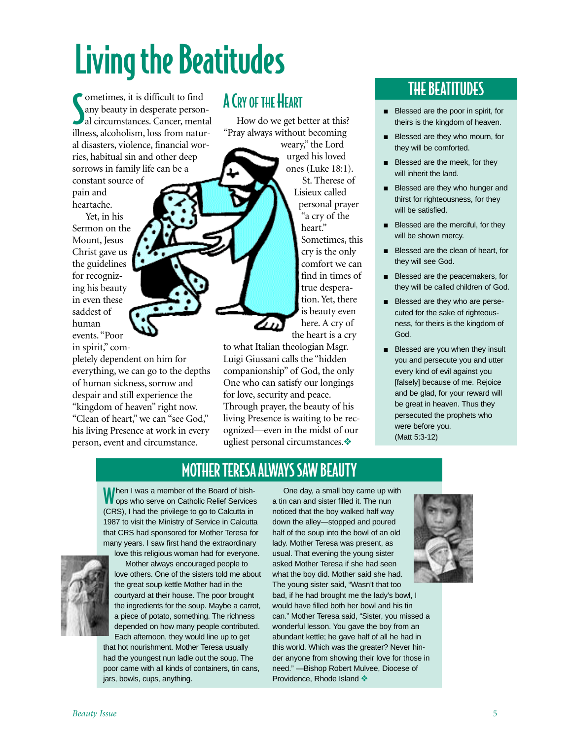# Living the Beatitudes

Sometimes, it is difficult to find<br>any beauty in desperate person-<br>al circumstances. Cancer, mental ometimes, it is difficult to find any beauty in desperate personillness, alcoholism, loss from natural disasters, violence, financial worries, habitual sin and other deep sorrows in family life can be a constant source of

pain and heartache.

Yet, in his Sermon on the Mount, Jesus Christ gave us the guidelines for recognizing his beauty in even these saddest of human events. "Poor in spirit," com-

pletely dependent on him for everything, we can go to the depths of human sickness, sorrow and despair and still experience the "kingdom of heaven" right now. "Clean of heart," we can "see God," his living Presence at work in every person, event and circumstance.

### A CRY OF THE HEART

How do we get better at this? "Pray always without becoming weary," the Lord urged his loved ones (Luke 18:1). St. Therese of Lisieux called personal prayer 'a cry of the

heart." Sometimes, this cry is the only comfort we can find in times of true desperation. Yet, there is beauty even here. A cry of the heart is a cry

to what Italian theologian Msgr. Luigi Giussani calls the "hidden companionship" of God, the only One who can satisfy our longings for love, security and peace. Through prayer, the beauty of his living Presence is waiting to be recognized—even in the midst of our ugliest personal circumstances.❖

## THE BEATITUDES

- Blessed are the poor in spirit, for theirs is the kingdom of heaven.
- Blessed are they who mourn, for they will be comforted.
- Blessed are the meek, for they will inherit the land.
- Blessed are they who hunger and thirst for righteousness, for they will be satisfied.
- Blessed are the merciful, for they will be shown mercy.
- Blessed are the clean of heart, for they will see God.
- Blessed are the peacemakers, for they will be called children of God.
- Blessed are they who are persecuted for the sake of righteousness, for theirs is the kingdom of God.
- Blessed are you when they insult you and persecute you and utter every kind of evil against you [falsely] because of me. Rejoice and be glad, for your reward will be great in heaven. Thus they persecuted the prophets who were before you. (Matt 5:3-12)

#### MOTHER TERESA ALWAYS SAW BEAUTY

When I was a member of the Board of bish-<br>Wops who serve on Catholic Relief Services (CRS), I had the privilege to go to Calcutta in 1987 to visit the Ministry of Service in Calcutta that CRS had sponsored for Mother Teresa for many years. I saw first hand the extraordinary



love this religious woman had for everyone. Mother always encouraged people to love others. One of the sisters told me about the great soup kettle Mother had in the courtyard at their house. The poor brought the ingredients for the soup. Maybe a carrot, a piece of potato, something. The richness depended on how many people contributed. Each afternoon, they would line up to get

that hot nourishment. Mother Teresa usually had the youngest nun ladle out the soup. The poor came with all kinds of containers, tin cans, jars, bowls, cups, anything.

One day, a small boy came up with a tin can and sister filled it. The nun noticed that the boy walked half way down the alley—stopped and poured half of the soup into the bowl of an old lady. Mother Teresa was present, as usual. That evening the young sister asked Mother Teresa if she had seen what the boy did. Mother said she had. The young sister said, "Wasn't that too bad, if he had brought me the lady's bowl, I would have filled both her bowl and his tin can." Mother Teresa said, "Sister, you missed a wonderful lesson. You gave the boy from an abundant kettle; he gave half of all he had in this world. Which was the greater? Never hinder anyone from showing their love for those in need." —Bishop Robert Mulvee, Diocese of

Providence, Rhode Island ❖

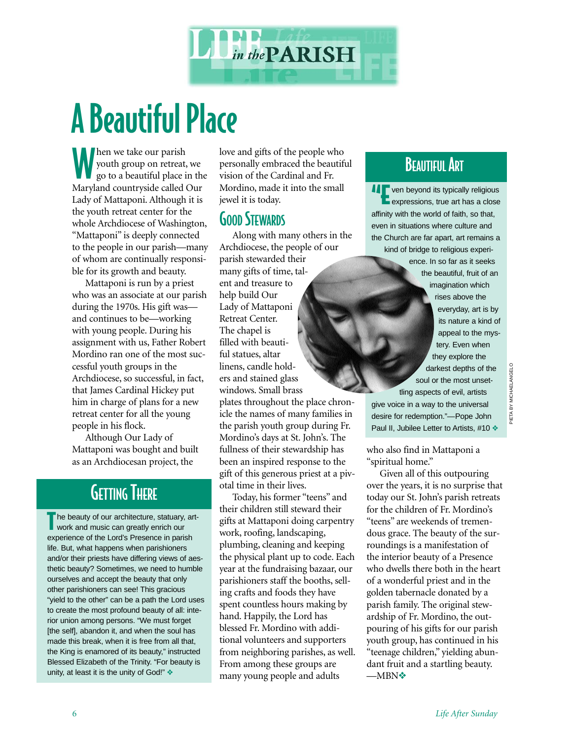

# A Beautiful Place

Men we take our parish<br>youth group on retreat<br>go to a beautiful place youth group on retreat, we go to a beautiful place in the Maryland countryside called Our Lady of Mattaponi. Although it is the youth retreat center for the whole Archdiocese of Washington, "Mattaponi" is deeply connected to the people in our parish—many of whom are continually responsible for its growth and beauty.

Mattaponi is run by a priest who was an associate at our parish during the 1970s. His gift was and continues to be—working with young people. During his assignment with us, Father Robert Mordino ran one of the most successful youth groups in the Archdiocese, so successful, in fact, that James Cardinal Hickey put him in charge of plans for a new retreat center for all the young people in his flock.

Although Our Lady of Mattaponi was bought and built as an Archdiocesan project, the

## **GETTING THERE**

The beauty of our architecture, statuary, art-<br>work and music can greatly enrich our work and music can greatly enrich our experience of the Lord's Presence in parish life. But, what happens when parishioners and/or their priests have differing views of aesthetic beauty? Sometimes, we need to humble ourselves and accept the beauty that only other parishioners can see! This gracious "yield to the other" can be a path the Lord uses to create the most profound beauty of all: interior union among persons. "We must forget [the self], abandon it, and when the soul has made this break, when it is free from all that, the King is enamored of its beauty," instructed Blessed Elizabeth of the Trinity. "For beauty is unity, at least it is the unity of God!" ❖

love and gifts of the people who personally embraced the beautiful vision of the Cardinal and Fr. Mordino, made it into the small jewel it is today.

#### **GOOD STEWARDS**

Along with many others in the Archdiocese, the people of our parish stewarded their many gifts of time, talent and treasure to help build Our Lady of Mattaponi Retreat Center. The chapel is filled with beautiful statues, altar linens, candle holders and stained glass windows. Small brass plates throughout the place chron-

icle the names of many families in the parish youth group during Fr. Mordino's days at St. John's. The fullness of their stewardship has been an inspired response to the gift of this generous priest at a pivotal time in their lives.

Today, his former "teens" and their children still steward their gifts at Mattaponi doing carpentry work, roofing, landscaping, plumbing, cleaning and keeping the physical plant up to code. Each year at the fundraising bazaar, our parishioners staff the booths, selling crafts and foods they have spent countless hours making by hand. Happily, the Lord has blessed Fr. Mordino with additional volunteers and supporters from neighboring parishes, as well. From among these groups are many young people and adults

## **BEAUTIFUL ART**

**Expressions, true art has a close**<br> **Expressions, true art has a close** affinity with the world of faith, so that, even in situations where culture and the Church are far apart, art remains a kind of bridge to religious experience. In so far as it seeks the beautiful, fruit of an imagination which rises above the everyday, art is by its nature a kind of appeal to the mystery. Even when they explore the

soul or the most unsettling aspects of evil, artists give voice in a way to the universal desire for redemption."—Pope John Paul II, Jubilee Letter to Artists, #10 ❖

darkest depths of the

who also find in Mattaponi a "spiritual home."

Given all of this outpouring over the years, it is no surprise that today our St. John's parish retreats for the children of Fr. Mordino's "teens" are weekends of tremendous grace. The beauty of the surroundings is a manifestation of the interior beauty of a Presence who dwells there both in the heart of a wonderful priest and in the golden tabernacle donated by a parish family. The original stewardship of Fr. Mordino, the outpouring of his gifts for our parish youth group, has continued in his "teenage children," yielding abundant fruit and a startling beauty. —MBN❖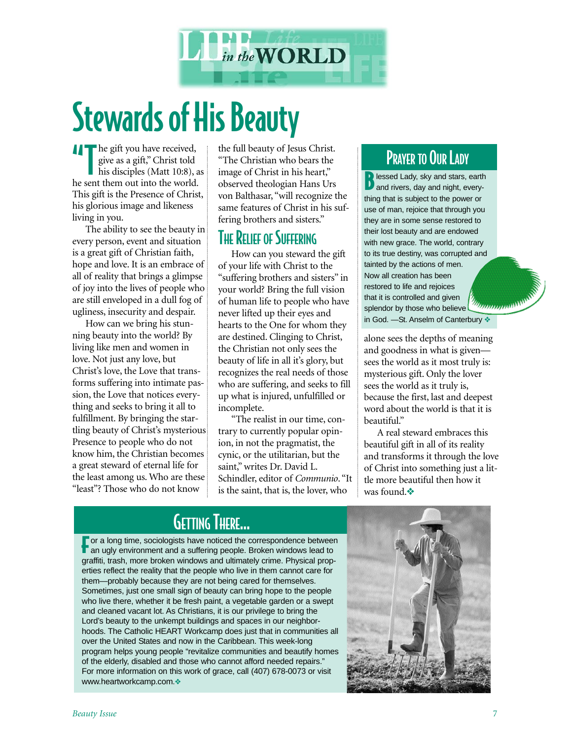

# Stewards of His Beauty

**The gift you have received,** give as a gift," Christ told his disciples (Matt 10:8), as he sent them out into the world. This gift is the Presence of Christ, his glorious image and likeness living in you.

The ability to see the beauty in every person, event and situation is a great gift of Christian faith, hope and love. It is an embrace of all of reality that brings a glimpse of joy into the lives of people who are still enveloped in a dull fog of ugliness, insecurity and despair.

How can we bring his stunning beauty into the world? By living like men and women in love. Not just any love, but Christ's love, the Love that transforms suffering into intimate passion, the Love that notices everything and seeks to bring it all to fulfillment. By bringing the startling beauty of Christ's mysterious Presence to people who do not know him, the Christian becomes a great steward of eternal life for the least among us. Who are these "least"? Those who do not know

the full beauty of Jesus Christ. "The Christian who bears the image of Christ in his heart," observed theologian Hans Urs von Balthasar, "will recognize the same features of Christ in his suffering brothers and sisters."

#### **THE RELIEF OF SUFFERING**

How can you steward the gift of your life with Christ to the "suffering brothers and sisters" in your world? Bring the full vision of human life to people who have never lifted up their eyes and hearts to the One for whom they are destined. Clinging to Christ, the Christian not only sees the beauty of life in all it's glory, but recognizes the real needs of those who are suffering, and seeks to fill up what is injured, unfulfilled or incomplete.

"The realist in our time, contrary to currently popular opinion, in not the pragmatist, the cynic, or the utilitarian, but the saint," writes Dr. David L. Schindler, editor of *Communio*. "It is the saint, that is, the lover, who

### PRAYER TO OUR LADY

**B** lessed Lady, sky and stars, earth and rivers, day and night, everything that is subject to the power or use of man, rejoice that through you they are in some sense restored to their lost beauty and are endowed with new grace. The world, contrary to its true destiny, was corrupted and tainted by the actions of men. Now all creation has been restored to life and rejoices that it is controlled and given *Channaman* splendor by those who believe in God. —St. Anselm of Canterbury ❖

alone sees the depths of meaning and goodness in what is given sees the world as it most truly is: mysterious gift. Only the lover sees the world as it truly is, because the first, last and deepest word about the world is that it is beautiful."

A real steward embraces this beautiful gift in all of its reality and transforms it through the love of Christ into something just a little more beautiful then how it was found.❖

## GETTING THERE...

**For a long time, sociologists have noticed the correspondence betwee**<br>**T** an ugly environment and a suffering people. Broken windows lead to **For a long time, sociologists have noticed the correspondence between** graffiti, trash, more broken windows and ultimately crime. Physical properties reflect the reality that the people who live in them cannot care for them—probably because they are not being cared for themselves. Sometimes, just one small sign of beauty can bring hope to the people who live there, whether it be fresh paint, a vegetable garden or a swept and cleaned vacant lot. As Christians, it is our privilege to bring the Lord's beauty to the unkempt buildings and spaces in our neighborhoods. The Catholic HEART Workcamp does just that in communities all over the United States and now in the Caribbean. This week-long program helps young people "revitalize communities and beautify homes of the elderly, disabled and those who cannot afford needed repairs." For more information on this work of grace, call (407) 678-0073 or visit www.heartworkcamp.com.❖